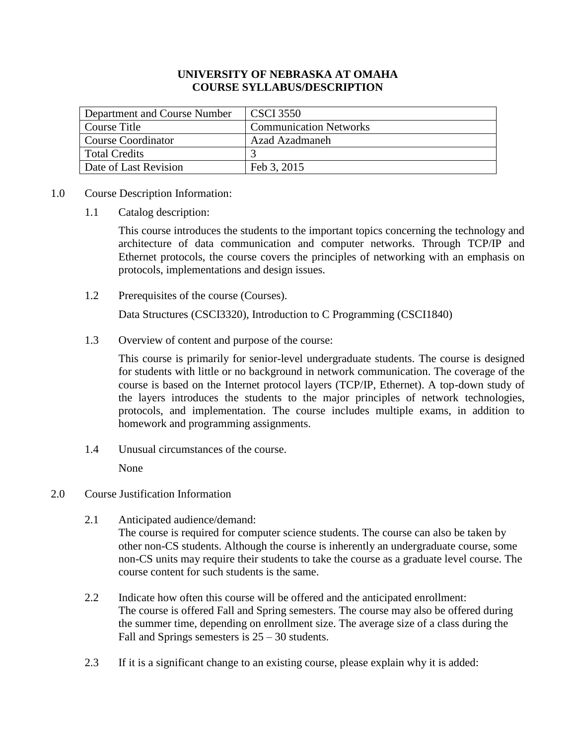## **UNIVERSITY OF NEBRASKA AT OMAHA COURSE SYLLABUS/DESCRIPTION**

| Department and Course Number | <b>CSCI 3550</b>              |
|------------------------------|-------------------------------|
| Course Title                 | <b>Communication Networks</b> |
| Course Coordinator           | Azad Azadmaneh                |
| Total Credits                |                               |
| Date of Last Revision        | Feb 3, 2015                   |

## 1.0 Course Description Information:

1.1 Catalog description:

This course introduces the students to the important topics concerning the technology and architecture of data communication and computer networks. Through TCP/IP and Ethernet protocols, the course covers the principles of networking with an emphasis on protocols, implementations and design issues.

1.2 Prerequisites of the course (Courses).

Data Structures (CSCI3320), Introduction to C Programming (CSCI1840)

1.3 Overview of content and purpose of the course:

This course is primarily for senior-level undergraduate students. The course is designed for students with little or no background in network communication. The coverage of the course is based on the Internet protocol layers (TCP/IP, Ethernet). A top-down study of the layers introduces the students to the major principles of network technologies, protocols, and implementation. The course includes multiple exams, in addition to homework and programming assignments.

1.4 Unusual circumstances of the course.

None

- 2.0 Course Justification Information
	- 2.1 Anticipated audience/demand: The course is required for computer science students. The course can also be taken by other non-CS students. Although the course is inherently an undergraduate course, some non-CS units may require their students to take the course as a graduate level course. The course content for such students is the same.
	- 2.2 Indicate how often this course will be offered and the anticipated enrollment: The course is offered Fall and Spring semesters. The course may also be offered during the summer time, depending on enrollment size. The average size of a class during the Fall and Springs semesters is  $25 - 30$  students.
	- 2.3 If it is a significant change to an existing course, please explain why it is added: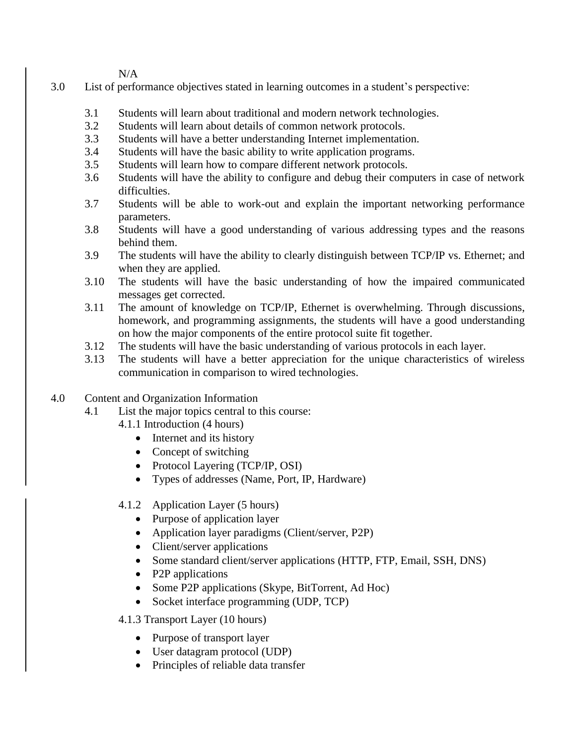N/A

- 3.0 List of performance objectives stated in learning outcomes in a student's perspective:
	- 3.1 Students will learn about traditional and modern network technologies.
	- 3.2 Students will learn about details of common network protocols.
	- 3.3 Students will have a better understanding Internet implementation.
	- 3.4 Students will have the basic ability to write application programs.
	- 3.5 Students will learn how to compare different network protocols.
	- 3.6 Students will have the ability to configure and debug their computers in case of network difficulties.
	- 3.7 Students will be able to work-out and explain the important networking performance parameters.
	- 3.8 Students will have a good understanding of various addressing types and the reasons behind them.
	- 3.9 The students will have the ability to clearly distinguish between TCP/IP vs. Ethernet; and when they are applied.
	- 3.10 The students will have the basic understanding of how the impaired communicated messages get corrected.
	- 3.11 The amount of knowledge on TCP/IP, Ethernet is overwhelming. Through discussions, homework, and programming assignments, the students will have a good understanding on how the major components of the entire protocol suite fit together.
	- 3.12 The students will have the basic understanding of various protocols in each layer.
	- 3.13 The students will have a better appreciation for the unique characteristics of wireless communication in comparison to wired technologies.
- 4.0 Content and Organization Information
	- 4.1 List the major topics central to this course:
		- 4.1.1 Introduction (4 hours)
			- Internet and its history
			- Concept of switching
			- Protocol Layering (TCP/IP, OSI)
			- Types of addresses (Name, Port, IP, Hardware)
		- 4.1.2 Application Layer (5 hours)
			- Purpose of application layer
			- Application layer paradigms (Client/server, P2P)
			- Client/server applications
			- Some standard client/server applications (HTTP, FTP, Email, SSH, DNS)
			- P2P applications
			- Some P2P applications (Skype, BitTorrent, Ad Hoc)
			- Socket interface programming (UDP, TCP)

4.1.3 Transport Layer (10 hours)

- Purpose of transport layer
- User datagram protocol (UDP)
- Principles of reliable data transfer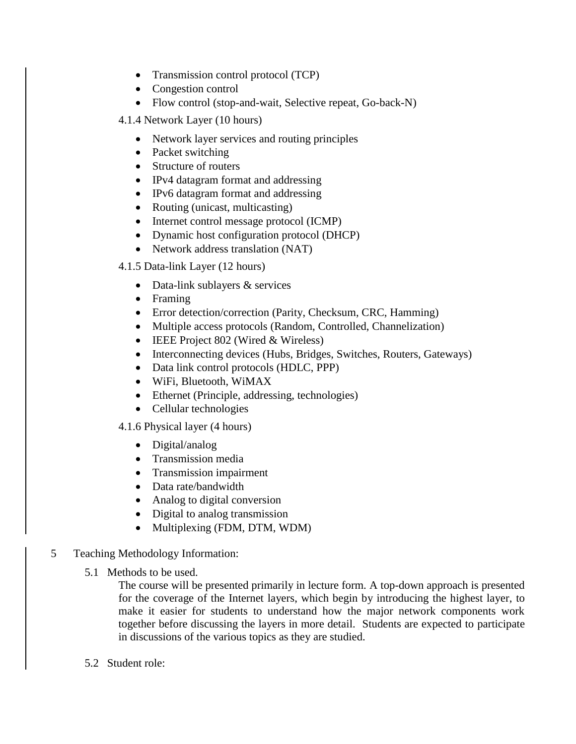- Transmission control protocol (TCP)
- Congestion control
- Flow control (stop-and-wait, Selective repeat, Go-back-N)
- 4.1.4 Network Layer (10 hours)
	- Network layer services and routing principles
	- Packet switching
	- Structure of routers
	- IPv4 datagram format and addressing
	- IPv6 datagram format and addressing
	- Routing (unicast, multicasting)
	- Internet control message protocol (ICMP)
	- Dynamic host configuration protocol (DHCP)
	- Network address translation (NAT)
- 4.1.5 Data-link Layer (12 hours)
	- Data-link sublayers & services
	- Framing
	- Error detection/correction (Parity, Checksum, CRC, Hamming)
	- Multiple access protocols (Random, Controlled, Channelization)
	- $\bullet$  IEEE Project 802 (Wired & Wireless)
	- Interconnecting devices (Hubs, Bridges, Switches, Routers, Gateways)
	- Data link control protocols (HDLC, PPP)
	- WiFi, Bluetooth, WiMAX
	- Ethernet (Principle, addressing, technologies)
	- Cellular technologies

4.1.6 Physical layer (4 hours)

- Digital/analog
- Transmission media
- Transmission impairment
- Data rate/bandwidth
- Analog to digital conversion
- Digital to analog transmission
- Multiplexing (FDM, DTM, WDM)
- 5 Teaching Methodology Information:
	- 5.1 Methods to be used.

The course will be presented primarily in lecture form. A top-down approach is presented for the coverage of the Internet layers, which begin by introducing the highest layer, to make it easier for students to understand how the major network components work together before discussing the layers in more detail. Students are expected to participate in discussions of the various topics as they are studied.

5.2 Student role: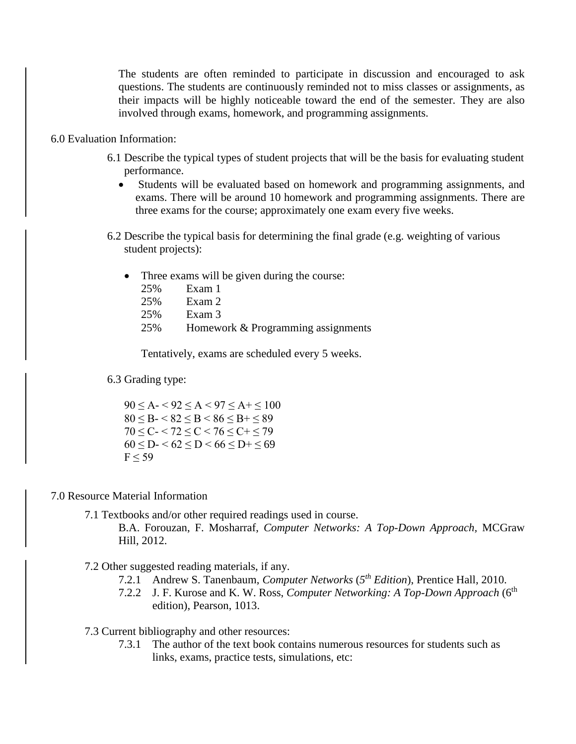The students are often reminded to participate in discussion and encouraged to ask questions. The students are continuously reminded not to miss classes or assignments, as their impacts will be highly noticeable toward the end of the semester. They are also involved through exams, homework, and programming assignments.

- 6.0 Evaluation Information:
	- 6.1 Describe the typical types of student projects that will be the basis for evaluating student performance.
		- Students will be evaluated based on homework and programming assignments, and exams. There will be around 10 homework and programming assignments. There are three exams for the course; approximately one exam every five weeks.
	- 6.2 Describe the typical basis for determining the final grade (e.g. weighting of various student projects):
		- Three exams will be given during the course:

| 25% | Exam 1                             |
|-----|------------------------------------|
| 25% | Exam 2                             |
| 25% | Exam 3                             |
| 25% | Homework & Programming assignments |

Tentatively, exams are scheduled every 5 weeks.

6.3 Grading type:

 $90 \le A - 92 \le A < 97 \le A + 100$  $80 \leq B - 82 \leq B \leq 86 \leq B + 89$  $70 \leq C < 72 \leq C < 76 \leq C + \leq 79$  $60 \le D < 62 \le D < 66 \le D + \le 69$  $F < 59$ 

## 7.0 Resource Material Information

7.1 Textbooks and/or other required readings used in course.

B.A. Forouzan, F. Mosharraf, *Computer Networks: A Top-Down Approach,* MCGraw Hill, 2012.

- 7.2 Other suggested reading materials, if any.
	- 7.2.1 Andrew S. Tanenbaum, *Computer Networks* (*5 th Edition*), Prentice Hall, 2010.
	- 7.2.2 J. F. Kurose and K. W. Ross, *Computer Networking: A Top-Down Approach* (6th edition), Pearson, 1013.
- 7.3 Current bibliography and other resources:
	- 7.3.1 The author of the text book contains numerous resources for students such as links, exams, practice tests, simulations, etc: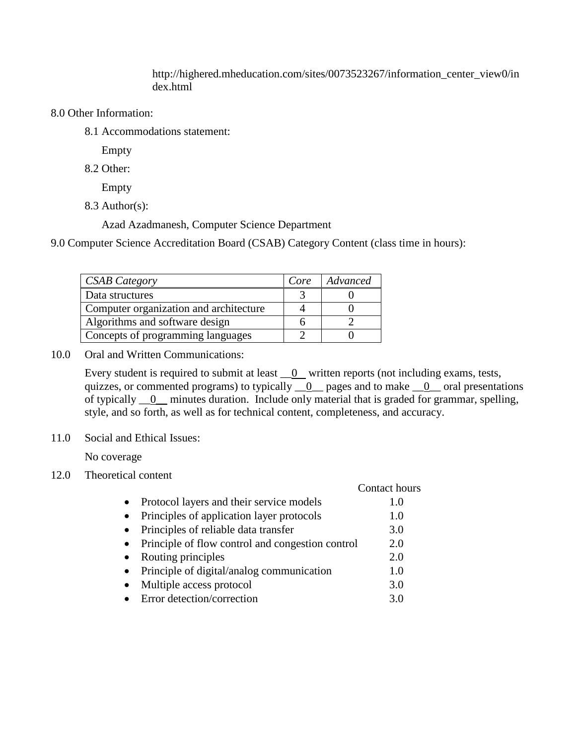http://highered.mheducation.com/sites/0073523267/information\_center\_view0/in dex.html

## 8.0 Other Information:

8.1 Accommodations statement:

Empty

8.2 Other:

Empty

8.3 Author(s):

Azad Azadmanesh, Computer Science Department

9.0 Computer Science Accreditation Board (CSAB) Category Content (class time in hours):

| <b>CSAB</b> Category                   | Core | Advanced |
|----------------------------------------|------|----------|
| Data structures                        |      |          |
| Computer organization and architecture |      |          |
| Algorithms and software design         |      |          |
| Concepts of programming languages      |      |          |

10.0 Oral and Written Communications:

Every student is required to submit at least  $\_\_0$  written reports (not including exams, tests, quizzes, or commented programs) to typically  $\_0$  pages and to make  $\_0$  oral presentations of typically  $\qquad_0$  minutes duration. Include only material that is graded for grammar, spelling, style, and so forth, as well as for technical content, completeness, and accuracy.

11.0 Social and Ethical Issues:

No coverage

12.0 Theoretical content

|                                                  | Contact hours |
|--------------------------------------------------|---------------|
| Protocol layers and their service models         | 1.0           |
| Principles of application layer protocols        | 1.0           |
| Principles of reliable data transfer             | 3.0           |
| Principle of flow control and congestion control | 2.0           |
| Routing principles                               | 2.0           |
| Principle of digital/analog communication        | 1.0           |
| Multiple access protocol                         | 3.0           |
| Error detection/correction                       | 3 O           |
|                                                  |               |